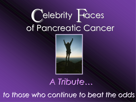# Celebrity Faces of Pancreatic Cancer



#### *A Tribute…*

*to those who continue to beat the odds*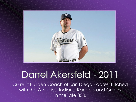

### Darrel Akersfeld - 2011

Current Bullpen Coach of San Diego Padres. Pitched with the Athletics, Indians, Rangers and Orioles in the late 80's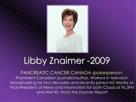

## Libby Znaimer-2009

PANCREATIC CANCER CANADA spokesperson. Prominent Canadian journalist/author. Worked in television broadcasting for two decades and recently joined MZ Media as Vice-President of News and Information for both Classical 96.3FM and AM740. Hosts the Zoomer Report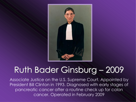

#### Ruth Bader Ginsburg – 2009

Associate Justice on the U.S. Supreme Court. Appointed by President Bill Clinton in 1993. Diagnosed with early stages of pancreatic cancer after a routine check up for colon cancer. Operated in February 2009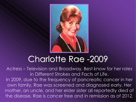

### Charlotte Rae -2009

Actress – Television and Broadway. Best know for her roles in Different Strokes and Facts of Life. In 2009, due to the frequency of pancreatic cancer in her own family, Rae was screened and diagnosed early. Her mother, an uncle, and her elder sister all reportedly died of the disease. Rae is cancer free and in remission as of 2012.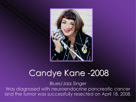

### Candye Kane -2008

Blues/Jazz Singer Was diagnosed with neuroendocrine pancreatic cancer and the tumor was successfully resected on April 18, 2008.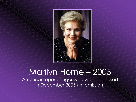

#### Marilyn Horne – 2005 American opera singer who was diagnosed in December 2005 (in remission)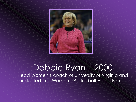

#### Debbie Ryan – 2000 Head Women's coach of University of Virginia and

inducted into Women's Basketball Hall of Fame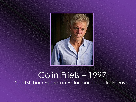

#### Colin Friels – 1997 Scottish born Australian Actor married to Judy Davis.